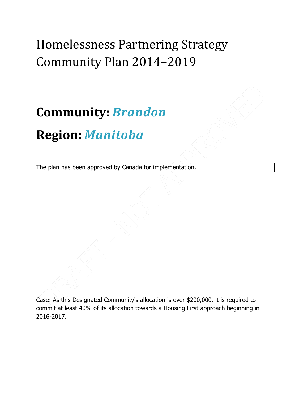## Homelessness Partnering Strategy Community Plan 2014–2019

# **Community:** *Brandon* **Region:** *Manitoba*

The plan has been approved by Canada for implementation.

Case: As this Designated Community's allocation is over \$200,000, it is required to commit at least 40% of its allocation towards a Housing First approach beginning in 2016-2017.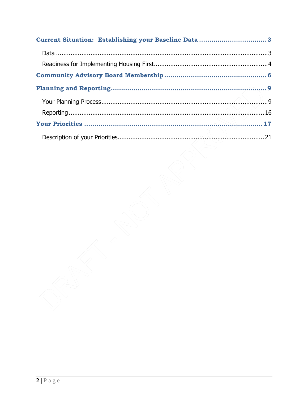| Current Situation: Establishing your Baseline Data3 |  |
|-----------------------------------------------------|--|
|                                                     |  |
|                                                     |  |
|                                                     |  |
|                                                     |  |
|                                                     |  |
|                                                     |  |
|                                                     |  |
|                                                     |  |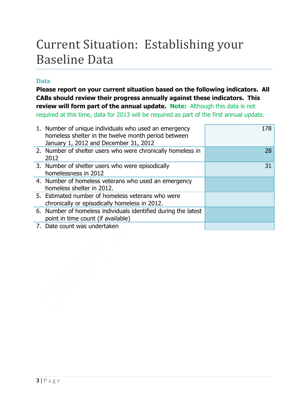## <span id="page-2-0"></span>Current Situation: Establishing your Baseline Data

## <span id="page-2-1"></span>**Data**

**Please report on your current situation based on the following indicators. All CABs should review their progress annually against these indicators. This review will form part of the annual update. Note:** Although this data is not required at this time, data for 2013 will be required as part of the first annual update.

| 1. Number of unique individuals who used an emergency<br>homeless shelter in the twelve month period between<br>January 1, 2012 and December 31, 2012 | 178 |
|-------------------------------------------------------------------------------------------------------------------------------------------------------|-----|
| 2. Number of shelter users who were chronically homeless in<br>2012                                                                                   | 28  |
| 3. Number of shelter users who were episodically<br>homelessness in 2012                                                                              | 31  |
| 4. Number of homeless veterans who used an emergency<br>homeless shelter in 2012.                                                                     |     |
| 5. Estimated number of homeless veterans who were<br>chronically or episodically homeless in 2012.                                                    |     |
| 6. Number of homeless individuals identified during the latest<br>point in time count (if available)                                                  |     |
| 7. Date count was undertaken                                                                                                                          |     |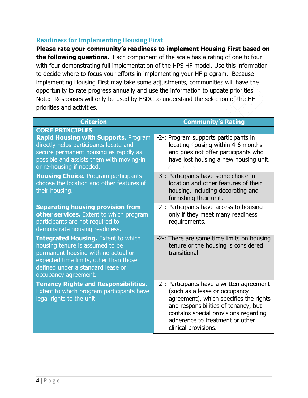## <span id="page-3-0"></span>**Readiness for Implementing Housing First**

**Please rate your community's readiness to implement Housing First based on the following questions.** Each component of the scale has a rating of one to four with four demonstrating full implementation of the HPS HF model. Use this information to decide where to focus your efforts in implementing your HF program. Because implementing Housing First may take some adjustments, communities will have the opportunity to rate progress annually and use the information to update priorities. Note: Responses will only be used by ESDC to understand the selection of the HF priorities and activities.

| <b>Criterion</b>                                                                                                                                                                                                            | <b>Community's Rating</b>                                                                                                                                                                                                                                         |
|-----------------------------------------------------------------------------------------------------------------------------------------------------------------------------------------------------------------------------|-------------------------------------------------------------------------------------------------------------------------------------------------------------------------------------------------------------------------------------------------------------------|
| <b>CORE PRINCIPLES</b>                                                                                                                                                                                                      |                                                                                                                                                                                                                                                                   |
| <b>Rapid Housing with Supports. Program</b><br>directly helps participants locate and<br>secure permanent housing as rapidly as<br>possible and assists them with moving-in<br>or re-housing if needed.                     | -2-: Program supports participants in<br>locating housing within 4-6 months<br>and does not offer participants who<br>have lost housing a new housing unit.                                                                                                       |
| <b>Housing Choice.</b> Program participants<br>choose the location and other features of<br>their housing.                                                                                                                  | -3-: Participants have some choice in<br>location and other features of their<br>housing, including decorating and<br>furnishing their unit.                                                                                                                      |
| <b>Separating housing provision from</b><br>other services. Extent to which program<br>participants are not required to<br>demonstrate housing readiness.                                                                   | -2-: Participants have access to housing<br>only if they meet many readiness<br>requirements.                                                                                                                                                                     |
| <b>Integrated Housing.</b> Extent to which<br>housing tenure is assumed to be<br>permanent housing with no actual or<br>expected time limits, other than those<br>defined under a standard lease or<br>occupancy agreement. | -2-: There are some time limits on housing<br>tenure or the housing is considered<br>transitional.                                                                                                                                                                |
| <b>Tenancy Rights and Responsibilities.</b><br>Extent to which program participants have<br>legal rights to the unit.                                                                                                       | -2-: Participants have a written agreement<br>(such as a lease or occupancy<br>agreement), which specifies the rights<br>and responsibilities of tenancy, but<br>contains special provisions regarding<br>adherence to treatment or other<br>clinical provisions. |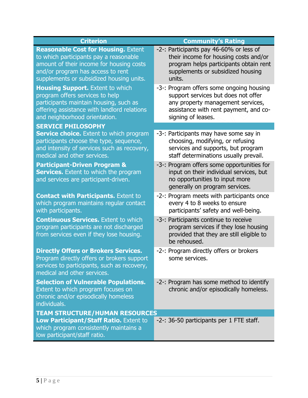| <b>Criterion</b>                                                                                                                                                                                                  | <b>Community's Rating</b>                                                                                                                                                           |
|-------------------------------------------------------------------------------------------------------------------------------------------------------------------------------------------------------------------|-------------------------------------------------------------------------------------------------------------------------------------------------------------------------------------|
| <b>Reasonable Cost for Housing. Extent</b><br>to which participants pay a reasonable<br>amount of their income for housing costs<br>and/or program has access to rent<br>supplements or subsidized housing units. | -2-: Participants pay 46-60% or less of<br>their income for housing costs and/or<br>program helps participants obtain rent<br>supplements or subsidized housing<br>units.           |
| <b>Housing Support.</b> Extent to which<br>program offers services to help<br>participants maintain housing, such as<br>offering assistance with landlord relations<br>and neighborhood orientation.              | -3-: Program offers some ongoing housing<br>support services but does not offer<br>any property management services,<br>assistance with rent payment, and co-<br>signing of leases. |
| <b>SERVICE PHILOSOPHY</b>                                                                                                                                                                                         |                                                                                                                                                                                     |
| <b>Service choice.</b> Extent to which program<br>participants choose the type, sequence,<br>and intensity of services such as recovery,<br>medical and other services.                                           | -3-: Participants may have some say in<br>choosing, modifying, or refusing<br>services and supports, but program<br>staff determinations usually prevail.                           |
| <b>Participant-Driven Program &amp;</b><br><b>Services.</b> Extent to which the program<br>and services are participant-driven.                                                                                   | -3-: Program offers some opportunities for<br>input on their individual services, but<br>no opportunities to input more<br>generally on program services.                           |
| <b>Contact with Participants. Extent to</b><br>which program maintains regular contact<br>with participants.                                                                                                      | -2-: Program meets with participants once<br>every 4 to 8 weeks to ensure<br>participants' safety and well-being.                                                                   |
| <b>Continuous Services.</b> Extent to which<br>program participants are not discharged<br>from services even if they lose housing.                                                                                | -3-: Participants continue to receive<br>program services if they lose housing<br>provided that they are still eligible to<br>be rehoused.                                          |
| <b>Directly Offers or Brokers Services.</b><br>Program directly offers or brokers support<br>services to participants, such as recovery,<br>medical and other services.                                           | -2-: Program directly offers or brokers<br>some services                                                                                                                            |
| <b>Selection of Vulnerable Populations.</b><br>Extent to which program focuses on<br>chronic and/or episodically homeless<br>individuals.                                                                         | -2-: Program has some method to identify<br>chronic and/or episodically homeless.                                                                                                   |
| <b>TEAM STRUCTURE/HUMAN RESOURCES</b>                                                                                                                                                                             |                                                                                                                                                                                     |
| Low Participant/Staff Ratio. Extent to<br>which program consistently maintains a<br>low participant/staff ratio.                                                                                                  | -2-: 36-50 participants per 1 FTE staff.                                                                                                                                            |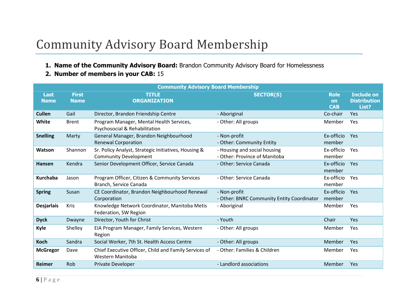## Community Advisory Board Membership

- **1. Name of the Community Advisory Board:** Brandon Community Advisory Board for Homelessness
- **2. Number of members in your CAB:** 15

<span id="page-5-0"></span>

| <b>Community Advisory Board Membership</b> |                             |                                                                           |                                                            |                                 |                                                   |  |  |  |
|--------------------------------------------|-----------------------------|---------------------------------------------------------------------------|------------------------------------------------------------|---------------------------------|---------------------------------------------------|--|--|--|
| <b>Last</b><br><b>Name</b>                 | <b>First</b><br><b>Name</b> | <b>TITLE</b><br><b>ORGANIZATION</b>                                       | <b>SECTOR(S)</b>                                           | <b>Role</b><br>on<br><b>CAB</b> | <b>Include on</b><br><b>Distribution</b><br>List? |  |  |  |
| <b>Cullen</b>                              | Gail                        | Director, Brandon Friendship Centre                                       | - Aboriginal                                               | Co-chair                        | Yes                                               |  |  |  |
| White                                      | <b>Brent</b>                | Program Manager, Mental Health Services,<br>Psychosocial & Rehabilitation | - Other: All groups                                        | Member                          | Yes                                               |  |  |  |
| <b>Snelling</b>                            | Marty                       | General Manager, Brandon Neighbourhood                                    | - Non-profit                                               | Ex-officio                      | Yes                                               |  |  |  |
|                                            |                             | <b>Renewal Corporation</b>                                                | - Other: Community Entity                                  | member                          |                                                   |  |  |  |
| Watson                                     | Shannon                     | Sr. Policy Analyst, Strategic Initiatives, Housing &                      | - Housing and social housing                               | Ex-officio                      | Yes                                               |  |  |  |
|                                            |                             | <b>Community Development</b>                                              | - Other: Province of Manitoba                              | member                          |                                                   |  |  |  |
| <b>Hansen</b>                              | Kendra                      | Senior Development Officer, Service Canada                                | - Other: Service Canada                                    | Ex-officio<br>member            | Yes                                               |  |  |  |
| <b>Kurchaba</b>                            | Jason                       | Program Officer, Citizen & Community Services<br>Branch, Service Canada   | - Other: Service Canada                                    | Ex-officio<br>member            | Yes                                               |  |  |  |
| <b>Spring</b>                              | Susan                       | CE Coordinator, Brandon Neighbourhood Renewal<br>Corporation              | - Non-profit<br>- Other: BNRC Community Entity Coordinator | Ex-officio<br>member            | Yes                                               |  |  |  |
| <b>Desjarlais</b>                          | <b>Kris</b>                 | Knowledge Network Coordinator, Manitoba Metis<br>Federation, SW Region    | - Aboriginal                                               | Member                          | Yes                                               |  |  |  |
| <b>Dyck</b>                                | Dwayne                      | Director, Youth for Christ                                                | - Youth                                                    | Chair                           | Yes                                               |  |  |  |
| Kyle                                       | Shelley                     | EIA Program Manager, Family Services, Western<br>Region                   | - Other: All groups                                        | Member                          | Yes                                               |  |  |  |
| <b>Koch</b>                                | Sandra                      | Social Worker, 7th St. Health Access Centre                               | - Other: All groups                                        | Member                          | Yes                                               |  |  |  |
| <b>McGregor</b>                            | Dave                        | Chief Executive Officer, Child and Family Services of<br>Western Manitoba | - Other: Families & Children                               | Member                          | Yes                                               |  |  |  |
| Reimer                                     | Rob                         | Private Developer                                                         | - Landlord associations                                    | Member                          | Yes                                               |  |  |  |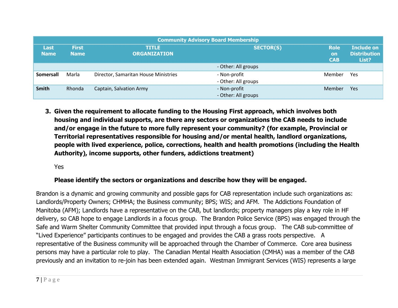| <b>Community Advisory Board Membership</b> |                             |                                      |                                        |                                                   |            |  |  |
|--------------------------------------------|-----------------------------|--------------------------------------|----------------------------------------|---------------------------------------------------|------------|--|--|
| Last<br><b>Name</b>                        | <b>First</b><br><b>Name</b> | <b>TITLE</b><br><b>ORGANIZATION</b>  | <b>Role</b><br><b>on</b><br><b>CAB</b> | <b>Include on</b><br><b>Distribution</b><br>List? |            |  |  |
|                                            |                             |                                      | - Other: All groups                    |                                                   |            |  |  |
| <b>Somersall</b>                           | Marla                       | Director, Samaritan House Ministries | - Non-profit<br>- Other: All groups    | Member                                            | Yes        |  |  |
| <b>Smith</b>                               | Rhonda                      | Captain, Salvation Army              | - Non-profit<br>- Other: All groups    | Member                                            | <b>Yes</b> |  |  |

**3. Given the requirement to allocate funding to the Housing First approach, which involves both housing and individual supports, are there any sectors or organizations the CAB needs to include and/or engage in the future to more fully represent your community? (for example, Provincial or Territorial representatives responsible for housing and/or mental health, landlord organizations, people with lived experience, police, corrections, health and health promotions (including the Health Authority), income supports, other funders, addictions treatment)**

Yes

## **Please identify the sectors or organizations and describe how they will be engaged.**

Brandon is a dynamic and growing community and possible gaps for CAB representation include such organizations as: Landlords/Property Owners; CHMHA; the Business community; BPS; WIS; and AFM. The Addictions Foundation of Manitoba (AFM); Landlords have a representative on the CAB, but landlords; property managers play a key role in HF delivery, so CAB hope to engage Landlords in a focus group. The Brandon Police Service (BPS) was engaged through the Safe and Warm Shelter Community Committee that provided input through a focus group. The CAB sub-committee of "Lived Experience" participants continues to be engaged and provides the CAB a grass roots perspective. A representative of the Business community will be approached through the Chamber of Commerce. Core area business persons may have a particular role to play. The Canadian Mental Health Association (CMHA) was a member of the CAB previously and an invitation to re-join has been extended again. Westman Immigrant Services (WIS) represents a large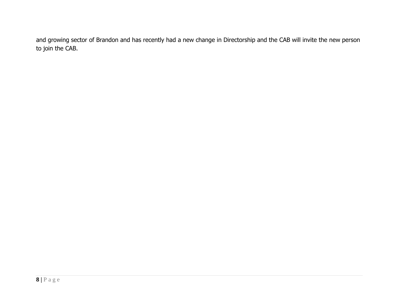and growing sector of Brandon and has recently had a new change in Directorship and the CAB will invite the new person to join the CAB.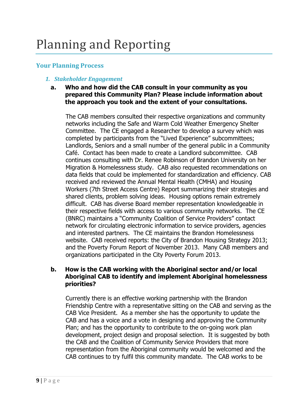## <span id="page-8-1"></span><span id="page-8-0"></span>**Your Planning Process**

## *1. Stakeholder Engagement*

## **a. Who and how did the CAB consult in your community as you prepared this Community Plan? Please include information about the approach you took and the extent of your consultations.**

The CAB members consulted their respective organizations and community networks including the Safe and Warm Cold Weather Emergency Shelter Committee. The CE engaged a Researcher to develop a survey which was completed by participants from the "Lived Experience" subcommittees; Landlords, Seniors and a small number of the general public in a Community Café. Contact has been made to create a Landlord subcommittee. CAB continues consulting with Dr. Renee Robinson of Brandon University on her Migration & Homelessness study. CAB also requested recommendations on data fields that could be implemented for standardization and efficiency. CAB received and reviewed the Annual Mental Health (CMHA) and Housing Workers (7th Street Access Centre) Report summarizing their strategies and shared clients, problem solving ideas. Housing options remain extremely difficult. CAB has diverse Board member representation knowledgeable in their respective fields with access to various community networks. The CE (BNRC) maintains a "Community Coalition of Service Providers" contact network for circulating electronic information to service providers, agencies and interested partners. The CE maintains the Brandon Homelessness website. CAB received reports: the City of Brandon Housing Strategy 2013; and the Poverty Forum Report of November 2013. Many CAB members and organizations participated in the City Poverty Forum 2013.

## **b. How is the CAB working with the Aboriginal sector and/or local Aboriginal CAB to identify and implement Aboriginal homelessness priorities?**

Currently there is an effective working partnership with the Brandon Friendship Centre with a representative sitting on the CAB and serving as the CAB Vice President. As a member she has the opportunity to update the CAB and has a voice and a vote in designing and approving the Community Plan; and has the opportunity to contribute to the on-going work plan development, project design and proposal selection. It is suggested by both the CAB and the Coalition of Community Service Providers that more representation from the Aboriginal community would be welcomed and the CAB continues to try fulfil this community mandate. The CAB works to be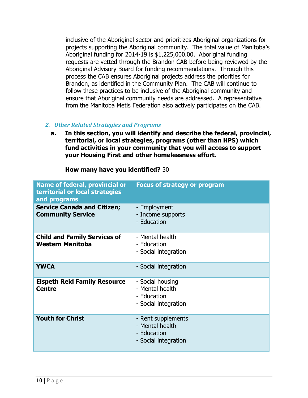inclusive of the Aboriginal sector and prioritizes Aboriginal organizations for projects supporting the Aboriginal community. The total value of Manitoba's Aboriginal funding for 2014-19 is \$1,225,000.00. Aboriginal funding requests are vetted through the Brandon CAB before being reviewed by the Aboriginal Advisory Board for funding recommendations. Through this process the CAB ensures Aboriginal projects address the priorities for Brandon, as identified in the Community Plan. The CAB will continue to follow these practices to be inclusive of the Aboriginal community and ensure that Aboriginal community needs are addressed. A representative from the Manitoba Metis Federation also actively participates on the CAB.

#### *2. Other Related Strategies and Programs*

**a. In this section, you will identify and describe the federal, provincial, territorial, or local strategies, programs (other than HPS) which fund activities in your community that you will access to support your Housing First and other homelessness effort.**

| <b>Name of federal, provincial or</b><br>territorial or local strategies<br>and programs | <b>Focus of strategy or program</b>                                          |
|------------------------------------------------------------------------------------------|------------------------------------------------------------------------------|
| <b>Service Canada and Citizen;</b><br><b>Community Service</b>                           | - Employment<br>- Income supports<br>- Education                             |
| <b>Child and Family Services of</b><br><b>Western Manitoba</b>                           | - Mental health<br>- Education<br>- Social integration                       |
| <b>YWCA</b>                                                                              | - Social integration                                                         |
| <b>Elspeth Reid Family Resource</b><br><b>Centre</b>                                     | - Social housing<br>- Mental health<br>- Education<br>- Social integration   |
| <b>Youth for Christ</b>                                                                  | - Rent supplements<br>- Mental health<br>- Education<br>- Social integration |

**How many have you identified?** 30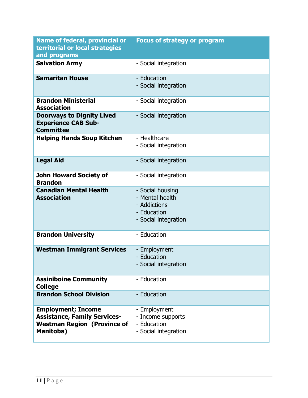| <b>Name of federal, provincial or</b><br>territorial or local strategies                                            | <b>Focus of strategy or program</b>                                                        |
|---------------------------------------------------------------------------------------------------------------------|--------------------------------------------------------------------------------------------|
| and programs                                                                                                        |                                                                                            |
| <b>Salvation Army</b>                                                                                               | - Social integration                                                                       |
| <b>Samaritan House</b>                                                                                              | - Education<br>- Social integration                                                        |
| <b>Brandon Ministerial</b><br><b>Association</b>                                                                    | - Social integration                                                                       |
| <b>Doorways to Dignity Lived</b><br><b>Experience CAB Sub-</b><br><b>Committee</b>                                  | - Social integration                                                                       |
| <b>Helping Hands Soup Kitchen</b>                                                                                   | - Healthcare<br>- Social integration                                                       |
| <b>Legal Aid</b>                                                                                                    | - Social integration                                                                       |
| <b>John Howard Society of</b><br><b>Brandon</b>                                                                     | - Social integration                                                                       |
| <b>Canadian Mental Health</b><br><b>Association</b>                                                                 | - Social housing<br>- Mental health<br>- Addictions<br>- Education<br>- Social integration |
| <b>Brandon University</b>                                                                                           | - Education                                                                                |
| <b>Westman Immigrant Services</b>                                                                                   | - Employment<br>- Education<br>- Social integration                                        |
| <b>Assiniboine Community</b><br><b>College</b>                                                                      | - Education                                                                                |
| <b>Brandon School Division</b>                                                                                      | - Education                                                                                |
| <b>Employment; Income</b><br><b>Assistance, Family Services-</b><br><b>Westman Region (Province of</b><br>Manitoba) | - Employment<br>- Income supports<br>- Education<br>- Social integration                   |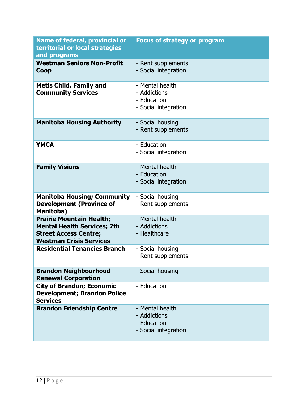| <b>Name of federal, provincial or</b><br>territorial or local strategies<br>and programs                                                | <b>Focus of strategy or program</b>                                    |
|-----------------------------------------------------------------------------------------------------------------------------------------|------------------------------------------------------------------------|
| <b>Westman Seniors Non-Profit</b><br>Coop                                                                                               | - Rent supplements<br>- Social integration                             |
| <b>Metis Child, Family and</b><br><b>Community Services</b>                                                                             | - Mental health<br>- Addictions<br>- Education<br>- Social integration |
| <b>Manitoba Housing Authority</b>                                                                                                       | - Social housing<br>- Rent supplements                                 |
| <b>YMCA</b>                                                                                                                             | - Education<br>- Social integration                                    |
| <b>Family Visions</b>                                                                                                                   | - Mental health<br>- Education<br>- Social integration                 |
| <b>Manitoba Housing; Community</b><br><b>Development (Province of</b><br>Manitoba)                                                      | - Social housing<br>- Rent supplements                                 |
| <b>Prairie Mountain Health;</b><br><b>Mental Health Services; 7th</b><br><b>Street Access Centre;</b><br><b>Westman Crisis Services</b> | - Mental health<br>- Addictions<br>- Healthcare                        |
| <b>Residential Tenancies Branch</b>                                                                                                     | - Social housing<br>- Rent supplements                                 |
| <b>Brandon Neighbourhood</b><br><b>Renewal Corporation</b>                                                                              | - Social housing                                                       |
| <b>City of Brandon; Economic</b><br><b>Development; Brandon Police</b><br><b>Services</b>                                               | - Education                                                            |
| <b>Brandon Friendship Centre</b>                                                                                                        | - Mental health<br>- Addictions<br>- Education<br>- Social integration |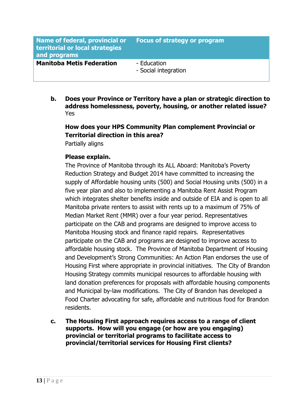| Name of federal, provincial or<br>territorial or local strategies<br>and programs | Focus of strategy or program        |
|-----------------------------------------------------------------------------------|-------------------------------------|
| <b>Manitoba Metis Federation</b>                                                  | - Education<br>- Social integration |

**b. Does your Province or Territory have a plan or strategic direction to address homelessness, poverty, housing, or another related issue?** Yes

## **How does your HPS Community Plan complement Provincial or Territorial direction in this area?**

Partially aligns

## **Please explain.**

The Province of Manitoba through its ALL Aboard: Manitoba's Poverty Reduction Strategy and Budget 2014 have committed to increasing the supply of Affordable housing units (500) and Social Housing units (500) in a five year plan and also to implementing a Manitoba Rent Assist Program which integrates shelter benefits inside and outside of EIA and is open to all Manitoba private renters to assist with rents up to a maximum of 75% of Median Market Rent (MMR) over a four year period. Representatives participate on the CAB and programs are designed to improve access to Manitoba Housing stock and finance rapid repairs. Representatives participate on the CAB and programs are designed to improve access to affordable housing stock. The Province of Manitoba Department of Housing and Development's Strong Communities: An Action Plan endorses the use of Housing First where appropriate in provincial initiatives. The City of Brandon Housing Strategy commits municipal resources to affordable housing with land donation preferences for proposals with affordable housing components and Municipal by-law modifications. The City of Brandon has developed a Food Charter advocating for safe, affordable and nutritious food for Brandon residents.

**c. The Housing First approach requires access to a range of client supports. How will you engage (or how are you engaging) provincial or territorial programs to facilitate access to provincial/territorial services for Housing First clients?**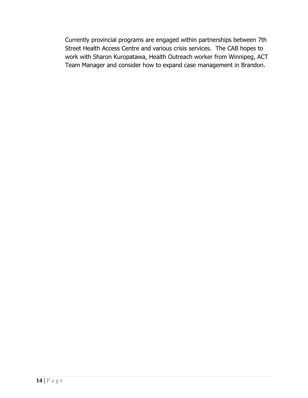Currently provincial programs are engaged within partnerships between 7th Street Health Access Centre and various crisis services. The CAB hopes to work with Sharon Kuropatawa, Health Outreach worker from Winnipeg, ACT Team Manager and consider how to expand case management in Brandon.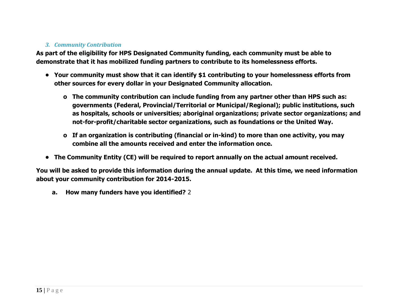## *3. Community Contribution*

**As part of the eligibility for HPS Designated Community funding, each community must be able to demonstrate that it has mobilized funding partners to contribute to its homelessness efforts.**

- **• Your community must show that it can identify \$1 contributing to your homelessness efforts from other sources for every dollar in your Designated Community allocation.**
	- **o The community contribution can include funding from any partner other than HPS such as: governments (Federal, Provincial/Territorial or Municipal/Regional); public institutions, such as hospitals, schools or universities; aboriginal organizations; private sector organizations; and not-for-profit/charitable sector organizations, such as foundations or the United Way.**
	- **o If an organization is contributing (financial or in-kind) to more than one activity, you may combine all the amounts received and enter the information once.**
- **• The Community Entity (CE) will be required to report annually on the actual amount received.**

**You will be asked to provide this information during the annual update. At this time, we need information about your community contribution for 2014-2015.**

**a. How many funders have you identified?** 2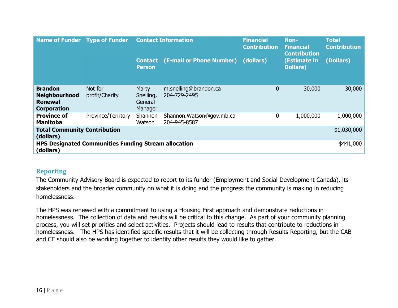| Name of Funder Type of Funder                                                  |                                                             | <b>Contact Information</b>               |                                           | <b>Financial</b><br><b>Contribution</b> | Non-<br><b>Financial</b><br><b>Contribution</b> | <b>Total</b><br><b>Contribution</b> |
|--------------------------------------------------------------------------------|-------------------------------------------------------------|------------------------------------------|-------------------------------------------|-----------------------------------------|-------------------------------------------------|-------------------------------------|
|                                                                                |                                                             | <b>Contact</b><br><b>Person</b>          | (E-mail or Phone Number)                  | (dollars)                               | (Estimate in<br><b>Dollars</b> )                | (Dollars)                           |
| <b>Brandon</b><br><b>Neighbourhood</b><br><b>Renewal</b><br><b>Corporation</b> | Not for<br>profit/Charity                                   | Marty<br>Snelling,<br>General<br>Manager | m.snelling@brandon.ca<br>204-729-2495     | 0                                       | 30,000                                          | 30,000                              |
| <b>Province of</b><br><b>Manitoba</b>                                          | Province/Territory                                          | Shannon<br>Watson                        | Shannon. Watson@gov.mb.ca<br>204-945-8587 | 0                                       | 1,000,000                                       | 1,000,000                           |
| <b>Total Community Contribution</b><br>(dollars)                               |                                                             |                                          |                                           |                                         |                                                 | \$1,030,000                         |
| (dollars)                                                                      | <b>HPS Designated Communities Funding Stream allocation</b> |                                          |                                           |                                         |                                                 | \$441,000                           |

## **Reporting**

The Community Advisory Board is expected to report to its funder (Employment and Social Development Canada), its stakeholders and the broader community on what it is doing and the progress the community is making in reducing homelessness.

<span id="page-15-0"></span>The HPS was renewed with a commitment to using a Housing First approach and demonstrate reductions in homelessness. The collection of data and results will be critical to this change. As part of your community planning process, you will set priorities and select activities. Projects should lead to results that contribute to reductions in homelessness. The HPS has identified specific results that it will be collecting through Results Reporting, but the CAB and CE should also be working together to identify other results they would like to gather.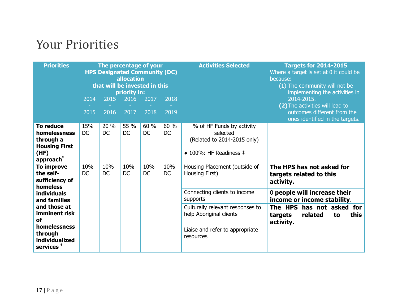## Your Priorities

<span id="page-16-0"></span>

| <b>Priorities</b>                                                                          | The percentage of your<br><b>HPS Designated Community (DC)</b><br>allocation<br>that will be invested in this<br>priority in:<br>2017<br>$\overline{2014}$<br>2015<br>2016<br>2018<br>2015<br>$\overline{2017}$<br>2018<br>2016<br>2019 |                   |                   |                   |                   | <b>Activities Selected</b>                                                                                      | <b>Targets for 2014-2015</b><br>Where a target is set at 0 it could be<br>because:<br>(1) The community will not be<br>implementing the activities in<br>2014-2015.<br>(2) The activities will lead to<br>outcomes different from the<br>ones identified in the targets. |
|--------------------------------------------------------------------------------------------|-----------------------------------------------------------------------------------------------------------------------------------------------------------------------------------------------------------------------------------------|-------------------|-------------------|-------------------|-------------------|-----------------------------------------------------------------------------------------------------------------|--------------------------------------------------------------------------------------------------------------------------------------------------------------------------------------------------------------------------------------------------------------------------|
| <b>To reduce</b><br>homelessness<br>through a<br><b>Housing First</b><br>(HF)<br>approach* | 15%<br><b>DC</b>                                                                                                                                                                                                                        | 20 %<br><b>DC</b> | 55 %<br><b>DC</b> | 60 %<br><b>DC</b> | 60 %<br><b>DC</b> | % of HF Funds by activity<br>selected<br>(Related to 2014-2015 only)<br>$\bullet$ 100%: HF Readiness $\ddagger$ |                                                                                                                                                                                                                                                                          |
| To improve<br>the self-<br>sufficiency of<br>homeless                                      | 10%<br><b>DC</b>                                                                                                                                                                                                                        | 10%<br><b>DC</b>  | 10%<br><b>DC</b>  | 10%<br><b>DC</b>  | 10%<br><b>DC</b>  | Housing Placement (outside of<br>Housing First)                                                                 | The HPS has not asked for<br>targets related to this<br>activity.                                                                                                                                                                                                        |
| <b>individuals</b><br>and families                                                         |                                                                                                                                                                                                                                         |                   |                   |                   |                   | Connecting clients to income<br>supports                                                                        | 0 people will increase their<br>income or income stability.                                                                                                                                                                                                              |
| and those at<br>imminent risk<br>οf                                                        |                                                                                                                                                                                                                                         |                   |                   |                   |                   | Culturally relevant responses to<br>help Aboriginal clients                                                     | The HPS has not asked for<br>this<br>related<br>targets<br>to<br>activity.                                                                                                                                                                                               |
| homelessness<br>through<br>individualized<br>services <sup>+</sup>                         |                                                                                                                                                                                                                                         |                   |                   |                   |                   | Liaise and refer to appropriate<br>resources                                                                    |                                                                                                                                                                                                                                                                          |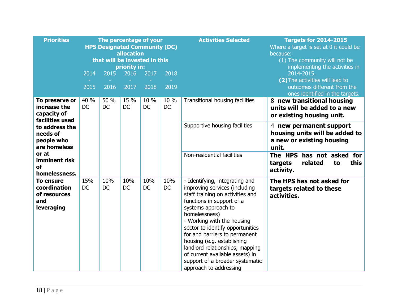| <b>Priorities</b>                                                     |                   | The percentage of your<br><b>HPS Designated Community (DC)</b><br>that will be invested in this | allocation<br>priority in: |                   |                   | <b>Activities Selected</b>                                                                                                                                                                                                                                                                                                                                                                                                                   | <b>Targets for 2014-2015</b><br>Where a target is set at 0 it could be<br>because:<br>(1) The community will not be<br>implementing the activities in |
|-----------------------------------------------------------------------|-------------------|-------------------------------------------------------------------------------------------------|----------------------------|-------------------|-------------------|----------------------------------------------------------------------------------------------------------------------------------------------------------------------------------------------------------------------------------------------------------------------------------------------------------------------------------------------------------------------------------------------------------------------------------------------|-------------------------------------------------------------------------------------------------------------------------------------------------------|
|                                                                       | 2014              | 2015                                                                                            | 2016                       | 2017              | 2018              |                                                                                                                                                                                                                                                                                                                                                                                                                                              | 2014-2015.<br>(2) The activities will lead to                                                                                                         |
|                                                                       | 2015              | 2016                                                                                            | 2017                       | 2018              | 2019              |                                                                                                                                                                                                                                                                                                                                                                                                                                              | outcomes different from the<br>ones identified in the targets.                                                                                        |
| To preserve or<br>increase the<br>capacity of<br>facilities used      | 40 %<br><b>DC</b> | 50 %<br><b>DC</b>                                                                               | 15 %<br><b>DC</b>          | 10 %<br><b>DC</b> | 10 %<br><b>DC</b> | Transitional housing facilities                                                                                                                                                                                                                                                                                                                                                                                                              | 8 new transitional housing<br>units will be added to a new<br>or existing housing unit.                                                               |
| to address the<br>needs of<br>people who<br>are homeless              |                   |                                                                                                 |                            |                   |                   | Supportive housing facilities                                                                                                                                                                                                                                                                                                                                                                                                                | 4 new permanent support<br>housing units will be added to<br>a new or existing housing<br>unit.                                                       |
| or at<br>imminent risk<br>of<br>homelessness.                         |                   |                                                                                                 |                            |                   |                   | Non-residential facilities                                                                                                                                                                                                                                                                                                                                                                                                                   | The HPS has not asked for<br>this<br>related<br>targets<br>to<br>activity.                                                                            |
| <b>To ensure</b><br>coordination<br>of resources<br>and<br>leveraging | 15%<br><b>DC</b>  | 10%<br><b>DC</b>                                                                                | 10%<br><b>DC</b>           | 10%<br>DC         | 10%<br>DC         | - Identifying, integrating and<br>improving services (including<br>staff training on activities and<br>functions in support of a<br>systems approach to<br>homelessness)<br>- Working with the housing<br>sector to identify opportunities<br>for and barriers to permanent<br>housing (e.g. establishing<br>landlord relationships, mapping<br>of current available assets) in<br>support of a broader systematic<br>approach to addressing | The HPS has not asked for<br>targets related to these<br>activities.                                                                                  |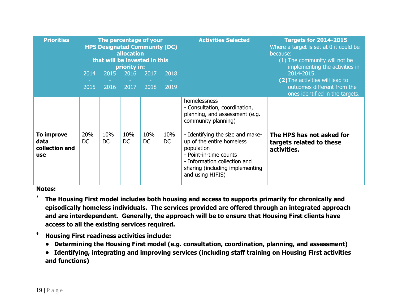| <b>Priorities</b>                           | 2014<br>2015     | The percentage of your<br><b>HPS Designated Community (DC)</b><br>allocation<br>that will be invested in this<br>priority in:<br>2015<br>2016<br>2017<br>2018<br><b>Contract</b><br><b>Contract Contract</b><br>2018<br>2019<br>2016<br>2017 |                  |                  |           | <b>Activities Selected</b>                                                                                                                                                                   | <b>Targets for 2014-2015</b><br>Where a target is set at 0 it could be<br>because:<br>(1) The community will not be<br>implementing the activities in<br>2014-2015.<br>(2) The activities will lead to<br>outcomes different from the<br>ones identified in the targets. |
|---------------------------------------------|------------------|----------------------------------------------------------------------------------------------------------------------------------------------------------------------------------------------------------------------------------------------|------------------|------------------|-----------|----------------------------------------------------------------------------------------------------------------------------------------------------------------------------------------------|--------------------------------------------------------------------------------------------------------------------------------------------------------------------------------------------------------------------------------------------------------------------------|
|                                             |                  |                                                                                                                                                                                                                                              |                  |                  |           | homelessness<br>- Consultation, coordination,<br>planning, and assessment (e.g.<br>community planning)                                                                                       |                                                                                                                                                                                                                                                                          |
| To improve<br>data<br>collection and<br>use | 20%<br><b>DC</b> | 10%<br><b>DC</b>                                                                                                                                                                                                                             | 10%<br><b>DC</b> | 10%<br><b>DC</b> | 10%<br>DC | - Identifying the size and make-<br>up of the entire homeless<br>population<br>- Point-in-time counts<br>- Information collection and<br>sharing (including implementing<br>and using HIFIS) | The HPS has not asked for<br>targets related to these<br>activities.                                                                                                                                                                                                     |

#### **Notes:**

**\* The Housing First model includes both housing and access to supports primarily for chronically and episodically homeless individuals. The services provided are offered through an integrated approach and are interdependent. Generally, the approach will be to ensure that Housing First clients have access to all the existing services required.**

- **‡ Housing First readiness activities include:**
	- **• Determining the Housing First model (e.g. consultation, coordination, planning, and assessment)**
	- **• Identifying, integrating and improving services (including staff training on Housing First activities and functions)**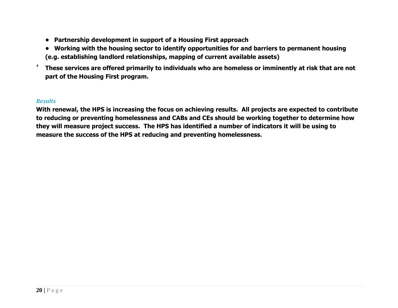- **• Partnership development in support of a Housing First approach**
- **• Working with the housing sector to identify opportunities for and barriers to permanent housing**
- **(e.g. establishing landlord relationships, mapping of current available assets)**
- **† These services are offered primarily to individuals who are homeless or imminently at risk that are not part of the Housing First program.**

#### *Results*

**With renewal, the HPS is increasing the focus on achieving results. All projects are expected to contribute to reducing or preventing homelessness and CABs and CEs should be working together to determine how they will measure project success. The HPS has identified a number of indicators it will be using to measure the success of the HPS at reducing and preventing homelessness.**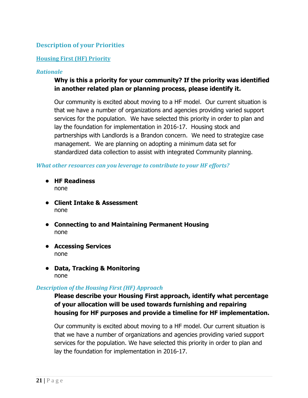## <span id="page-20-0"></span>**Description of your Priorities**

#### **Housing First (HF) Priority**

#### *Rationale*

## **Why is this a priority for your community? If the priority was identified in another related plan or planning process, please identify it.**

Our community is excited about moving to a HF model. Our current situation is that we have a number of organizations and agencies providing varied support services for the population. We have selected this priority in order to plan and lay the foundation for implementation in 2016-17. Housing stock and partnerships with Landlords is a Brandon concern. We need to strategize case management. We are planning on adopting a minimum data set for standardized data collection to assist with integrated Community planning.

#### *What other resources can you leverage to contribute to your HF efforts?*

- **• HF Readiness** none
- **• Client Intake & Assessment** none
- **• Connecting to and Maintaining Permanent Housing** none
- **• Accessing Services** none
- **• Data, Tracking & Monitoring** none

#### *Description of the Housing First (HF) Approach*

**Please describe your Housing First approach, identify what percentage of your allocation will be used towards furnishing and repairing housing for HF purposes and provide a timeline for HF implementation.**

Our community is excited about moving to a HF model. Our current situation is that we have a number of organizations and agencies providing varied support services for the population. We have selected this priority in order to plan and lay the foundation for implementation in 2016-17.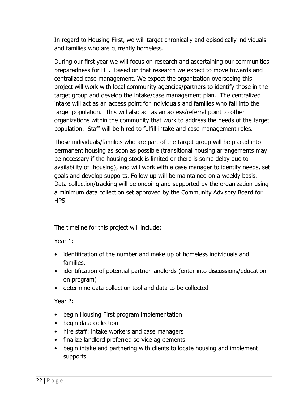In regard to Housing First, we will target chronically and episodically individuals and families who are currently homeless.

During our first year we will focus on research and ascertaining our communities preparedness for HF. Based on that research we expect to move towards and centralized case management. We expect the organization overseeing this project will work with local community agencies/partners to identify those in the target group and develop the intake/case management plan. The centralized intake will act as an access point for individuals and families who fall into the target population. This will also act as an access/referral point to other organizations within the community that work to address the needs of the target population. Staff will be hired to fulfill intake and case management roles.

Those individuals/families who are part of the target group will be placed into permanent housing as soon as possible (transitional housing arrangements may be necessary if the housing stock is limited or there is some delay due to availability of housing), and will work with a case manager to identify needs, set goals and develop supports. Follow up will be maintained on a weekly basis. Data collection/tracking will be ongoing and supported by the organization using a minimum data collection set approved by the Community Advisory Board for HPS.

The timeline for this project will include:

Year 1:

- identification of the number and make up of homeless individuals and families.
- identification of potential partner landlords (enter into discussions/education on program)
- determine data collection tool and data to be collected

Year 2:

- begin Housing First program implementation
- begin data collection
- hire staff: intake workers and case managers
- finalize landlord preferred service agreements
- begin intake and partnering with clients to locate housing and implement supports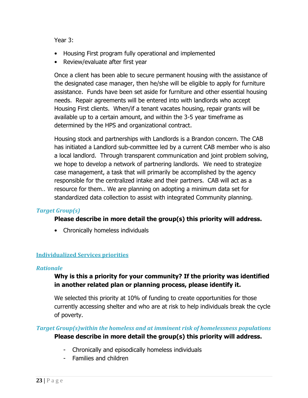Year 3:

- Housing First program fully operational and implemented
- Review/evaluate after first year

Once a client has been able to secure permanent housing with the assistance of the designated case manager, then he/she will be eligible to apply for furniture assistance. Funds have been set aside for furniture and other essential housing needs. Repair agreements will be entered into with landlords who accept Housing First clients. When/if a tenant vacates housing, repair grants will be available up to a certain amount, and within the 3-5 year timeframe as determined by the HPS and organizational contract.

Housing stock and partnerships with Landlords is a Brandon concern. The CAB has initiated a Landlord sub-committee led by a current CAB member who is also a local landlord. Through transparent communication and joint problem solving, we hope to develop a network of partnering landlords. We need to strategize case management, a task that will primarily be accomplished by the agency responsible for the centralized intake and their partners. CAB will act as a resource for them.. We are planning on adopting a minimum data set for standardized data collection to assist with integrated Community planning.

## *Target Group(s)*

## **Please describe in more detail the group(s) this priority will address.**

• Chronically homeless individuals

#### **Individualized Services priorities**

#### *Rationale*

## **Why is this a priority for your community? If the priority was identified in another related plan or planning process, please identify it.**

We selected this priority at 10% of funding to create opportunities for those currently accessing shelter and who are at risk to help individuals break the cycle of poverty.

## *Target Group(s)within the homeless and at imminent risk of homelessness populations* **Please describe in more detail the group(s) this priority will address.**

- Chronically and episodically homeless individuals
- Families and children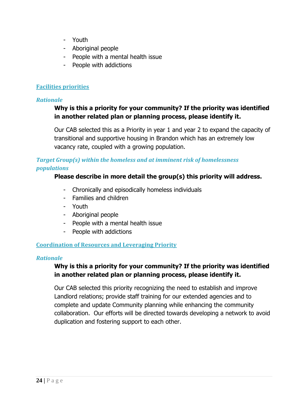- Youth
- Aboriginal people
- People with a mental health issue
- People with addictions

## **Facilities priorities**

## *Rationale*

## **Why is this a priority for your community? If the priority was identified in another related plan or planning process, please identify it.**

Our CAB selected this as a Priority in year 1 and year 2 to expand the capacity of transitional and supportive housing in Brandon which has an extremely low vacancy rate, coupled with a growing population.

## *Target Group(s) within the homeless and at imminent risk of homelessness populations*

## **Please describe in more detail the group(s) this priority will address.**

- Chronically and episodically homeless individuals
- Families and children
- Youth
- Aboriginal people
- People with a mental health issue
- People with addictions

## **Coordination of Resources and Leveraging Priority**

## *Rationale*

## **Why is this a priority for your community? If the priority was identified in another related plan or planning process, please identify it.**

Our CAB selected this priority recognizing the need to establish and improve Landlord relations; provide staff training for our extended agencies and to complete and update Community planning while enhancing the community collaboration. Our efforts will be directed towards developing a network to avoid duplication and fostering support to each other.